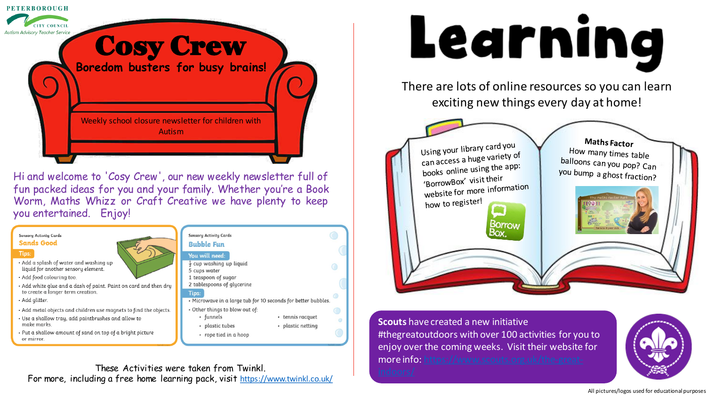

Hi and welcome to 'Cosy Crew', our new weekly newsletter full of fun packed ideas for you and your family. Whether you're a Book Worm, Maths Whizz or Craft Creative we have plenty to keep you entertained. Enjoy!



#### Tips:

- Add a splash of water and washing up liquid for another sensory element
- · Add food colouring too.
- $\cdot$  Add white glue and a dash of paint. Paint on card and then dry  $\|$ to create a longer term creation
- · Add glitter.
- Add metal objects and children use magnets to find the objects.
- Use a shallow tray, add paintbrushes and allow to make marks.
- Put a shallow amount of sand on top of a bright picture or mirror.

| <b>Sensory Activity Cards</b><br><b>Bubble Fun</b> |
|----------------------------------------------------|
| You will need:                                     |
| $\frac{1}{2}$ cup washing up                       |
| 5 cups water                                       |
| 1 teaspoon of sug                                  |
|                                                    |

- will need: up washing up liguid ups water easpoon of sugar 2 tablespoons of glycerine Tips: . Microwave in a large tub for 10 seconds for better bubbles.
- Other things to blow out of: · funnels • tennis racquet
	- plastic tubes · plastic netting
	- rope tied in a hoop

# Learning

There are lots of online resources so you can learn exciting new things every day at home!



#### **Scouts** have created a new initiative #thegreatoutdoors with over 100 activities for you to enjoy over the coming weeks. Visit their website for [more info: https://www.scouts.org.uk/the-great-](https://www.scouts.org.uk/the-great-indoors/)



These Activities were taken from Twinkl. For more, including a free home learning pack, visit <https://www.twinkl.co.uk/>